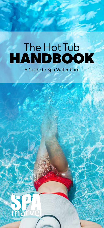# The Hot Tub **HANDBOOK**

A Guide to Spa Water Care

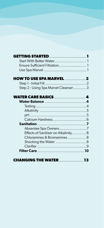| GETTING STARTED 1                    |    |
|--------------------------------------|----|
| Start With Better Water 1            |    |
| Ensure Sufficient Filtration 1       |    |
|                                      |    |
|                                      |    |
| <b>HOW TO USE SPA MARVEL  2</b>      |    |
|                                      |    |
| Step 2 - Using Spa Marvel Cleanser3  |    |
|                                      |    |
|                                      |    |
| <b>WATER CARE BASICS  4</b>          |    |
|                                      |    |
|                                      |    |
|                                      |    |
|                                      |    |
|                                      |    |
|                                      |    |
| Absentee Spa Owners7                 |    |
| Effects of Sanitizer on Alkalinity 8 |    |
| Chloramines & Bromamines 8           |    |
| Shocking the Water  8                |    |
|                                      |    |
|                                      |    |
|                                      |    |
|                                      |    |
| HANGING THE WATER                    | 13 |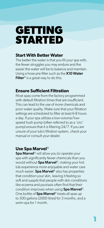## **GETTING STARTED**

### **Start With Better Water**

The better the water is that you fill your spa with, the fewer struggles you may endure and the easier the water will be to balance and maintain. Using a hose pre-filter such as the **X10 Water** Filter<sup>®</sup> is a great way to do this.

### **Ensure Sufficient Filtration**

Most spas come from the factory programmed with default filtration times that are insufficient. This can lead to the use of more chemicals and poor water quality. Make sure that your filtration settings are scheduled to filter at least 6-8 hours a day. If your spa utilizes a low-volume/lowspeed hush pump (often referred to as a 'circ' pump) ensure that it is filtering 24/7. If you are unsure of your tub's filtration system, check your manual or consult your dealer.

### **Use Spa Marvel**®

Spa Marvel<sup>®</sup> will allow you to operate your spa with significantly fewer chemicals than you would without **Spa Marvel**®, making your hot tub experience more enjoyable and water care much easier. **Spa Marvel**® also has properties that condition your skin, leaving it feeling so soft and supple that people with skin conditions like eczema and psoriasis often find that their condition improves when using Spa Marvel®. One bottle of **Spa Marvel**® treats all spas up to 500 gallons (2000 litres) for 3 months, and a swim spa for 1 month.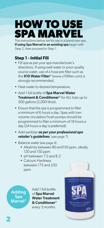## **HOW TO USE PA MAR**

The instructions below are for use in a brand new spa. If using Spa Marvel in an existing spa begin with Step 2, then proceed to Step 1.

## **Step 1 - Initial Fill**

- Fill spa as per your spa manufacturer's directions. If using well water or poor quality source water, use of a hose pre filter such as the X10 Water Filter<sup>®</sup> (www.x10filter.com) is strongly recommended.
- Heat water to desired temperature.
- Add 1 full bottle of Spa Marvel Water Treatment & Conditioner® for ALL tubs up to 500 gallons (2,000 litres).
- Ensure that the spa is programmed to filter a minimum of 6 hours a day. Spas with lowvolume circulation/hush pumps should be programmed to filter a minimum of 18 hours a day (24 hours a day is preferred).
- Add sanitizer *as per your professional spa retailer's guidelines*. (see page 7)
- Balance water (see page 4)
	- Alkalinity between 80 and 150 ppm, ideally 120 and 150 ppm
	- pH between 7.2 and 8.2
	- Calcium Hardness between 175 and 250 ppm

Adding Spa Marvel® Add 1 full bottle of Spa Marvel Water Treatment & Conditioner® every 3 months.

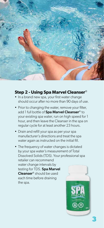

#### **Step 2 - Using Spa Marvel Cleanser**®

- In a brand new spa, your first water change should occur after no more than 90 days of use.
- Prior to changing the water, remove your filter, add 1 full bottle of Spa Marvel Cleanser<sup>®</sup> to your existing spa water, run on high speed for 1 hour, and then leave the Cleanser in the spa on regular cycle for at least another 23 hours.
- Drain and refill your spa as per your spa manufacturer's directions and treat the spa water again as instructed on the initial fill.
- The frequency of water changes is dictated by your spa water's measurement of Total Dissolved Solids (TDS). Your professional spa retailer can recommend water change intervals by testing for TDS. Spa Marvel Cleanser® should be used each time before draining the spa.

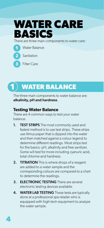

There are three main components to water care:



**3**

**4**

Water Balance

Sanitation

Filter Care

## **1 WATER BALANCE**

The three main components to water balance are: alkalinity, pH and hardness.

#### **Testing Water Balance**

There are 4 common ways to test your water balance.

- 1. TEST STRIPS The most commonly used and fastest method is to use test strips. These strips use litmus paper that is dipped into the water and then matched against a colour legend to determine different readings. Most strips test for the basics: pH, alkalinity and free sanitizer. Some will test for more including cyanuric acid, total chlorine and hardness.
- 2. TITRATION This is where drops of a reagent are added to a water sample and the corresponding colours are compared to a chart to determine the readings.
- **3. ELECTRONIC TESTING** There are several electronic testing devices available.
- 4. WATER LAB TESTING These tests are typically done at a professional spa retailer who is equipped with high-tech equipment to analyze the water sample.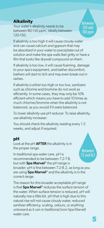### **Alkalinity**

Your water's alkalinity needs to be between 80-150 ppm, ideally between 120-150.

Between 120 and 150 ppm

If alkalinity is too high it will cause cloudy water and can cause calcium and gypsum that may be absorbed in your water to precipitate out of solution and make the spa walls feel gritty or have a film that looks like drywall compound on them.

If alkalinity is too low, it will cause foaming, damage to your spa's equipment, and bather discomfort; bathers will start to itch and may even break out in rashes.

If alkalinity is either too high or too low, sanitizers such as chlorine and bromine do not work as efficiently. In some cases, they may only be 10% efficient which means you have to add 10 times as much chlorine/bromine when the alkalinity is not balanced, as you would if it were balanced.

To lower alkalinity use pH reducer. To raise alkalinity, use alkalinity increaser.

You should check the alkalinity reading every 1-2 weeks, and adjust if required.

### **pH**

Look at the  $pH$  AFTER the alkalinity is in the proper range.

In traditional spa water care, pH is recommended to be between 7.2-7.8, but with **Spa Marvel**® the pH range is

Between 7.2 and 8.2

broader; pH is fine between 7.2-8.2, as long as you are using **Spa Marvel**® and the alkalinity is in the correct range.

The reason for this broader acceptable pH range is that Spa Marvel<sup>®</sup> reduces the surface tension of the water. When surface tension is reduced, pH will naturally rise a little bit. pH that is high due to this natural rise will not cause cloudy water, reduced sanitizer efficiency, scaling, odours, or anything untoward as it can in traditional (non-Spa Marvel) water care.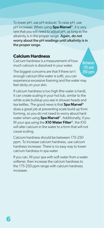To lower pH, use pH reducer. To raise pH, use pH increaser. When using Spa Marvel<sup>®</sup>, it is very rare that you will need to adjust pH, as long as the alkalinity is in the proper range. Again, do not worry about the pH readings until alkalinity is in the proper range.

### **Calcium Hardness**

Calcium hardness is a measurement of how much calcium is dissolved in your water.

The biggest concerns are that if there isn't enough calcium (the water is soft), you can experience excessive foaming and the water may feel sticky on your skin.

If calcium hardness is too high (the water is hard), it can create scaling in your hot tub, similar to the white scale buildup you see in shower heads and tea kettles. The good news is that Spa Marvel<sup>®</sup> does a great job at preventing scale build up from forming, so you do not need to worry about hard water when using **Spa Marvel**®. Additionally, if you fill your spa using the  $X10$  Water Filter®, the X10 will alter calcium in the water to a form that will not cause scaling.

Calcium hardness should be between 175-250 ppm. To increase calcium hardness, use calcium hardness increaser. There is no easy way to lower calcium hardness in spa water.

If you can, fill your spa with soft water from a water softener, then increase the calcium hardness to the 175-250 ppm range with calcium hardness increaser.

**6**

Between 175 and 250 ppm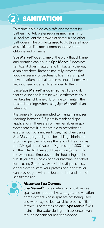## **2 SANITATION**

To maintain a biologically safe environment for bathers, hot tub water requires mechanisms to kill and prevent the growth of bacteria and other pathogens. The products used to do this are known as sanitizers. The most common sanitizers are chlorine and bromine.

Spa Marvel<sup>®</sup> does some of the work that chlorine and bromine can do, but Spa Marvel<sup>®</sup> does not sanitize; it doesn't attack and kill bacteria the way a sanitizer does. Rather it naturally removes the food necessary for bacteria to live. This is in part how aquariums and lakes can maintain themselves without needing a sanitizer added to them.

Since Spa Marvel<sup>®</sup> is doing some of the work that chlorine and bromine would otherwise do, it will take less chlorine or bromine to maintain the desired readings when using Spa Marvel<sup>®</sup>, than when not.

It is generally recommended to maintain sanitizer readings between 3-5 ppm in residential spa applications. There are so many variables in spa water care that it is impossible to prescribe an exact amount of sanitizer to use, but when using Spa Marvel, a good guide for adding chlorine or bromine granules is to use the ratio of 4 teaspoons per 250 gallons of water (20 grams per 1,000 litres) on the initial fill, then add 1 teaspoon (5 grams) to the water each time you are finished using the hot tub. If you are using chlorine or bromine in a tablet form, using 2 tablets a week in the dispenser is a good place to start. Your professional spa retailer can provide you with the best product and form of sanitizer to use.



#### **Absentee Spa Owners**

Spa Marvel<sup>®</sup> is a favorite amongst absentee spa owners: people like cottagers and vacation home owners whose spas are not being used and who may not be available to add sanitizer for weeks or months on end. Spa Marvel<sup>®</sup> will maintain the water during their absence, even though no sanitizer has been added.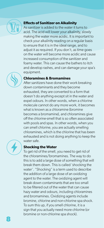

#### **Effects of Sanitizer on Alkalinity**

As sanitizer is added to the water it turns to acid. The acid will lower your alkalinity, slowly making the water more acidic. It is important to check your alkalinity reading on a regular basis to ensure that it is in the ideal range, and to adjust it as required. If you don't, as time goes on the water will become more acidic and cause increased consumption of the sanitizer and foamy water. This can cause the bathers to itch and develop rashes, and can damage your spa's equipment.

#### **Chloramines & Bromamines**

After sanitizers have done their work breaking down contaminants and they become exhausted, they are converted to a form that doesn't do anything except sit in the water and expel odours. In other words, when a chlorine molecule cannot do any more work, it becomes what is known as a chloramine (bromine becomes a bromamine), and chloramines give off the chlorine-smell that is so often associated with pools and spas. In other words, when you can smell chlorine, you are actually smelling chloramines, which is the chlorine that has been exhausted and is not doing anything to keep the water safe.

#### **Shocking the Water**

To get rid of the smell, you need to get rid of the chloramines/bromamines. The way to do this is to add a large dose of something that will break them down. This is called 'shocking the water'. "Shocking" is a term used to describe the addition of a large dose of an oxidizing agent to the water. The oxidizing agent will break down contaminants that are too small to be filtered out of the water that can cause hazy water and odours, including chloramines and bromamines. Oxidizing agents include bromine, chlorine and non-chlorine spa shock. To sum this up, if you smell chlorine, it is a sign that you actually need more chlorine (or bromine or non-chlorine spa shock).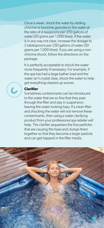Once a week, shock the water by adding chlorine or bromine granules to the water at the ratio of 4 teaspoons per 250 gallons of water (20 grams per 1,000 litres). If the water is in any way not clear, increase the dosage to 2 tablespoons per 250 gallons of water (30 grams per 1,000 litres). If you are using a nonchlorine shock, follow the directions on the package.

It is perfectly acceptable to shock the water more frequently if necessary. For example, if the spa has had a large bather load and the water isn't crystal clear, shock the water to help get everything cleared up sooner.



#### **Clarifier**

Sometimes contaminants can be introduced to the water that are so fine that they pass through the filter and stay in suspension, leaving the water looking hazy. If a clean filter and shocking the water will not remove these contaminants, then using a water clarifying product from your professional spa retailer will help. The clarifier sequesters the fine particles that are causing the haze and clumps them together so that they become a larger particle and can get trapped in the filter media.

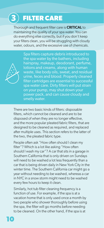## **3 FILTER CARE**

Thorough and frequent filter care is CRITICAL to maintaining the quality of your spa water. You can do everything else correctly, but if you don't keep your filters clean, you will be struggling with cloudy water, odours, and the excessive use of chemicals.



Spa filters capture debris introduced to the spa water by the bathers, including hairspray, makeup, deodorant, perfume, lotions and creams, along with human waste, like body oils, sweat, and residual urine, feces and blood. Properly cleaned filter cartridges are essential to successful spa water care. Dirty filters will put strain on your pump, may shut down your power pack, and can cause cloudy and smelly water.

There are two basic kinds of filters: disposable filters, which cannot be cleaned and are to be disposed of when they are no longer effective, and the more popular pleated fabric filters, that are designed to be cleaned as required, and replaced after multiple uses. This section refers to the latter of the two, the pleated fabric type.

People often ask "How often should I clean my filter"? Which is a lot like asking "How often should I wash my car"? A car that sits in a garage in Southern California that is only driven on Sundays will need to be washed a lot less frequently than a car that is being driven daily in New York City in the winter time. The Southern California car might go a year without needing to be washed, whereas a car in NYC in a snow storm might need to be washed every few hours to keep it clean.

Similarly, hot tub filter cleaning frequency is a function of use. For example, if the spa is at a vacation home that is only used once a month by two people who shower thoroughly before using the spa, the filter will go months before needing to be cleaned. On the other hand, if the spa is at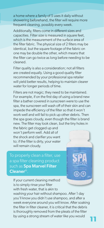a home where a family of 5 uses it daily without showering beforehand, the filter will require more frequent cleaning, possibly every week.

Additionally, filters come in different sizes and capacities. Filter size is measured in square feet, which is the measurement of the surface area of the filter fabric. The physical size of 2 filters may be identical, but the square footage of the fabric on one may be double the other, which means that the filter can go twice as long before needing to be cleaned.

Filter quality is also a consideration; not all filters are created equally. Using a good quality filter recommended by your professional spa retailer will yield better results, helping to maintain clearer water for longer periods of time.

Filters are not magic; they need to be maintained. For example, if on the first day of using a brand new filter a bather covered in sunscreen were to use the spa, the sunscreen will wash off of their skin and can impede the efficiency of the filter so that it won't work well and will fail to pick up other debris. Then the spa goes cloudy, even though the filter is brand new. The filter may look clean, but the tiny holes in

the fabric get clogged up and won't perform well. Add all of the shock and clarifier you want to; if the filter is dirty, your water will remain cloudy.

To properly clean a filter, use a spa filter cleaning product such as Spa Marvel Filter Cleaner®.



If your current cleaning method is to simply rinse your filter with fresh water, that is akin to

washing your hair without shampoo. After 1 day you'll know you didn't use shampoo, and after a week everyone around you will know. After soaking the filter in filter cleaner, it is critical that the debris is thoroughly removed from the pleats of the filter by using a strong stream of water like you would **11**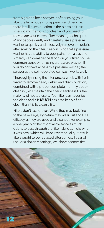from a garden hose sprayer. If after rinsing your filter the fabric does not appear brand new, i.e. there is still discolouration in the pleats or if it still smells dirty, then it is not clean and you need to reevaluate your current filter cleaning techniques. Many people gently and carefully use a pressure washer to quickly and effectively remove the debris after soaking the filter. Keep in mind that a pressure washer has the ability to peel paint from a car, and similarly can damage the fabric on your filter, so use common sense when using a pressure washer. If you do not have access to a pressure washer, the sprayer at the coin-operated car wash works well.

Thoroughly rinsing the filter once a week with fresh water to remove heavy debris and discolouration, combined with a proper complete monthly deepcleaning, will maintain the filter cleanliness for the majority of hot tub users. Your filter can never be too clean and it is **MUCH** easier to keep a filter clean than it is to clean a filter.

Filters don't last forever. While they may look fine to the naked eye, by nature they wear out and lose efficacy as they are used and cleaned. For example, a one-year old filter might allow twice as much debris to pass through the filter fabric as it did when it was new, which will impair water quality. Hot tub filters ought to be replaced after at most 1 year of use, or a dozen cleanings, whichever comes first.

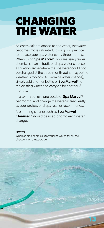## **CHANGING THE WATER**

As chemicals are added to spa water, the water becomes more saturated. It is a good practice to replace your spa water every three months. When using **Spa Marvel**®, you are using fewer chemicals than in traditional spa water care, so if a situation arose where the spa water could not be changed at the three month point (maybe the weather is too cold to permit a water change), simply add another bottle of Spa Marvel<sup>®</sup> to the existing water and carry on for another 3 months.

In a swim spa, use one bottle of Spa Marvel<sup>®</sup> per month, and change the water as frequently as your professional spa retailer recommends.

A plumbing cleaner such as Spa Marvel **Cleanser**<sup>®</sup> should be used prior to each water change.

#### **NOTES**

When adding chemicals to your spa water, follow the directions on the package.